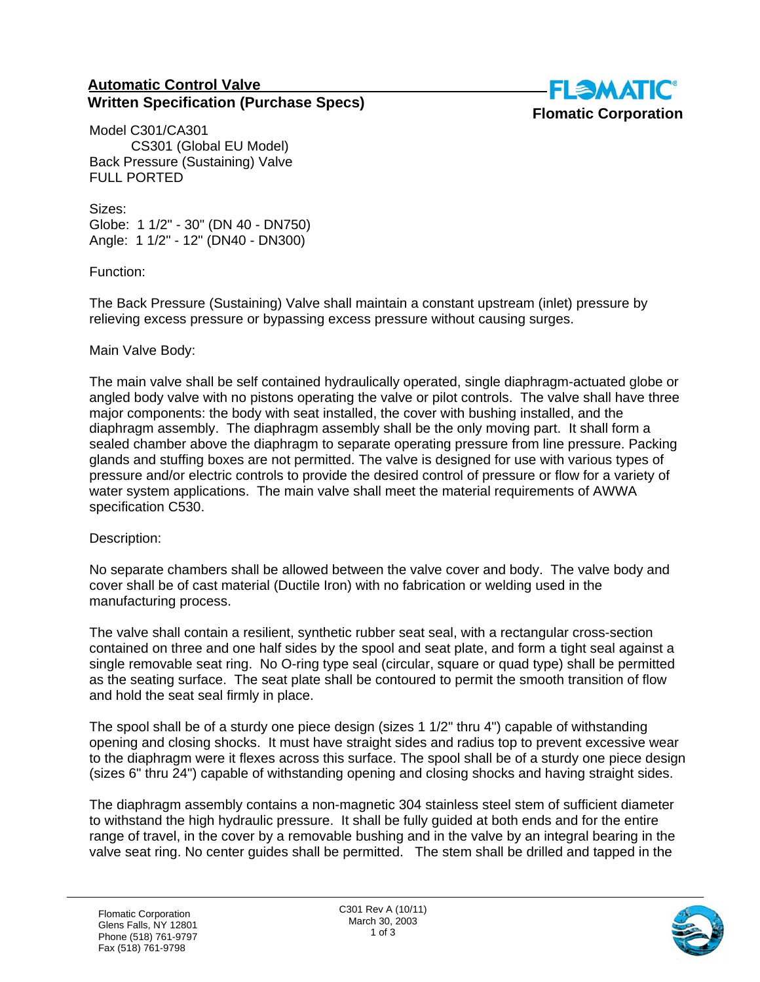## **Automatic Control Valve Written Specification (Purchase Specs)**



Model C301/CA301 CS301 (Global EU Model) Back Pressure (Sustaining) Valve FULL PORTED

Sizes: Globe: 1 1/2" - 30" (DN 40 - DN750) Angle: 1 1/2" - 12" (DN40 - DN300)

Function:

The Back Pressure (Sustaining) Valve shall maintain a constant upstream (inlet) pressure by relieving excess pressure or bypassing excess pressure without causing surges.

## Main Valve Body:

The main valve shall be self contained hydraulically operated, single diaphragm-actuated globe or angled body valve with no pistons operating the valve or pilot controls. The valve shall have three major components: the body with seat installed, the cover with bushing installed, and the diaphragm assembly. The diaphragm assembly shall be the only moving part. It shall form a sealed chamber above the diaphragm to separate operating pressure from line pressure. Packing glands and stuffing boxes are not permitted. The valve is designed for use with various types of pressure and/or electric controls to provide the desired control of pressure or flow for a variety of water system applications. The main valve shall meet the material requirements of AWWA specification C530.

Description:

No separate chambers shall be allowed between the valve cover and body. The valve body and cover shall be of cast material (Ductile Iron) with no fabrication or welding used in the manufacturing process.

The valve shall contain a resilient, synthetic rubber seat seal, with a rectangular cross-section contained on three and one half sides by the spool and seat plate, and form a tight seal against a single removable seat ring. No O-ring type seal (circular, square or quad type) shall be permitted as the seating surface. The seat plate shall be contoured to permit the smooth transition of flow and hold the seat seal firmly in place.

The spool shall be of a sturdy one piece design (sizes 1 1/2" thru 4") capable of withstanding opening and closing shocks. It must have straight sides and radius top to prevent excessive wear to the diaphragm were it flexes across this surface. The spool shall be of a sturdy one piece design (sizes 6" thru 24") capable of withstanding opening and closing shocks and having straight sides.

The diaphragm assembly contains a non-magnetic 304 stainless steel stem of sufficient diameter to withstand the high hydraulic pressure. It shall be fully guided at both ends and for the entire range of travel, in the cover by a removable bushing and in the valve by an integral bearing in the valve seat ring. No center guides shall be permitted. The stem shall be drilled and tapped in the

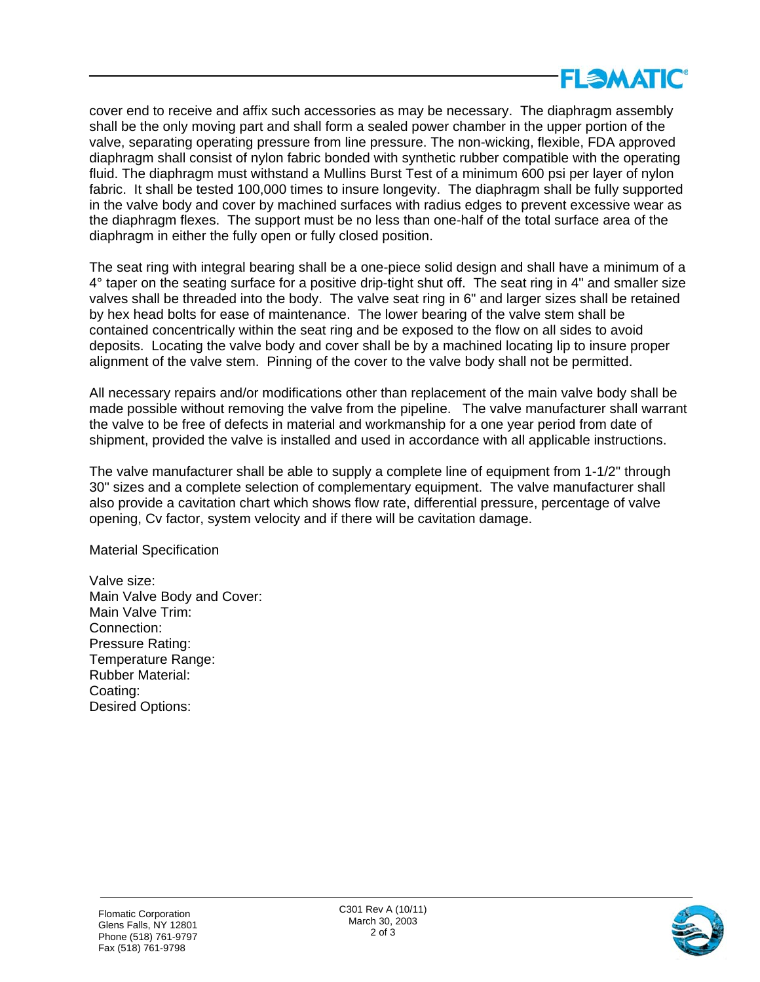

cover end to receive and affix such accessories as may be necessary. The diaphragm assembly shall be the only moving part and shall form a sealed power chamber in the upper portion of the valve, separating operating pressure from line pressure. The non-wicking, flexible, FDA approved diaphragm shall consist of nylon fabric bonded with synthetic rubber compatible with the operating fluid. The diaphragm must withstand a Mullins Burst Test of a minimum 600 psi per layer of nylon fabric. It shall be tested 100,000 times to insure longevity. The diaphragm shall be fully supported in the valve body and cover by machined surfaces with radius edges to prevent excessive wear as the diaphragm flexes. The support must be no less than one-half of the total surface area of the diaphragm in either the fully open or fully closed position.

The seat ring with integral bearing shall be a one-piece solid design and shall have a minimum of a 4° taper on the seating surface for a positive drip-tight shut off. The seat ring in 4" and smaller size valves shall be threaded into the body. The valve seat ring in 6" and larger sizes shall be retained by hex head bolts for ease of maintenance. The lower bearing of the valve stem shall be contained concentrically within the seat ring and be exposed to the flow on all sides to avoid deposits. Locating the valve body and cover shall be by a machined locating lip to insure proper alignment of the valve stem. Pinning of the cover to the valve body shall not be permitted.

All necessary repairs and/or modifications other than replacement of the main valve body shall be made possible without removing the valve from the pipeline. The valve manufacturer shall warrant the valve to be free of defects in material and workmanship for a one year period from date of shipment, provided the valve is installed and used in accordance with all applicable instructions.

The valve manufacturer shall be able to supply a complete line of equipment from 1-1/2" through 30" sizes and a complete selection of complementary equipment. The valve manufacturer shall also provide a cavitation chart which shows flow rate, differential pressure, percentage of valve opening, Cv factor, system velocity and if there will be cavitation damage.

Material Specification

Valve size: Main Valve Body and Cover: Main Valve Trim: Connection: Pressure Rating: Temperature Range: Rubber Material: Coating: Desired Options: